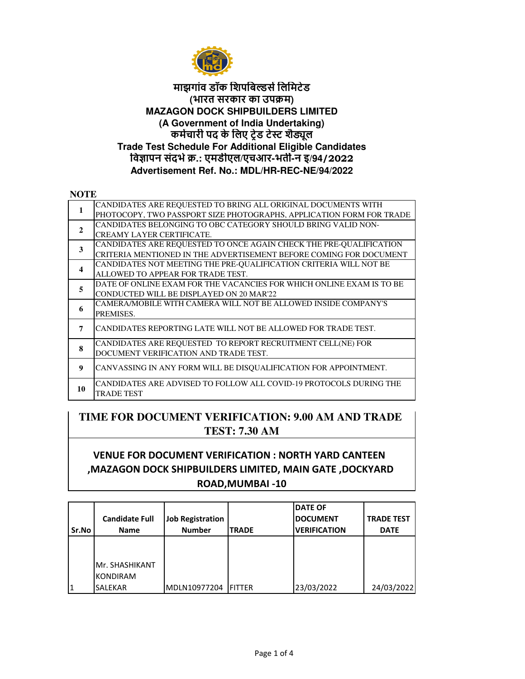

## **कमचारी पद के िलए टेड टे शैूल Trade Test Schedule For Additional Eligible Candidates िवापन संदभ.: एमडीएल/एचआर-भत -न इ/94/2022 Advertisement Ref. No.: MDL/HR-REC-NE/94/2022 माझगांव डॉक िशपिब&सिलिमटेड (भारत सरकार का उपम) MAZAGON DOCK SHIPBUILDERS LIMITED (A Government of India Undertaking)**

## **NOTE**

| CANDIDATES ARE REQUESTED TO BRING ALL ORIGINAL DOCUMENTS WITH<br>PHOTOCOPY, TWO PASSPORT SIZE PHOTOGRAPHS, APPLICATION FORM FOR TRADE<br>CANDIDATES BELONGING TO OBC CATEGORY SHOULD BRING VALID NON-<br>$\mathbf{2}$<br><b>CREAMY LAYER CERTIFICATE.</b><br>CANDIDATES ARE REQUESTED TO ONCE AGAIN CHECK THE PRE-QUALIFICATION<br>3<br>CRITERIA MENTIONED IN THE ADVERTISEMENT BEFORE COMING FOR DOCUMENT<br>CANDIDATES NOT MEETING THE PRE-QUALIFICATION CRITERIA WILL NOT BE<br>$\boldsymbol{4}$<br>ALLOWED TO APPEAR FOR TRADE TEST.<br>DATE OF ONLINE EXAM FOR THE VACANCIES FOR WHICH ONLINE EXAM IS TO BE<br>5<br>CONDUCTED WILL BE DISPLAYED ON 20 MAR'22<br>CAMERA/MOBILE WITH CAMERA WILL NOT BE ALLOWED INSIDE COMPANY'S<br>6<br>PREMISES.<br>CANDIDATES REPORTING LATE WILL NOT BE ALLOWED FOR TRADE TEST.<br>7<br>CANDIDATES ARE REQUESTED TO REPORT RECRUITMENT CELL(NE) FOR<br>8<br>DOCUMENT VERIFICATION AND TRADE TEST.<br>CANVASSING IN ANY FORM WILL BE DISQUALIFICATION FOR APPOINTMENT.<br>9<br>CANDIDATES ARE ADVISED TO FOLLOW ALL COVID-19 PROTOCOLS DURING THE<br>10<br>TRADE TEST |  |  |
|-------------------------------------------------------------------------------------------------------------------------------------------------------------------------------------------------------------------------------------------------------------------------------------------------------------------------------------------------------------------------------------------------------------------------------------------------------------------------------------------------------------------------------------------------------------------------------------------------------------------------------------------------------------------------------------------------------------------------------------------------------------------------------------------------------------------------------------------------------------------------------------------------------------------------------------------------------------------------------------------------------------------------------------------------------------------------------------------------------------|--|--|
|                                                                                                                                                                                                                                                                                                                                                                                                                                                                                                                                                                                                                                                                                                                                                                                                                                                                                                                                                                                                                                                                                                             |  |  |
|                                                                                                                                                                                                                                                                                                                                                                                                                                                                                                                                                                                                                                                                                                                                                                                                                                                                                                                                                                                                                                                                                                             |  |  |
|                                                                                                                                                                                                                                                                                                                                                                                                                                                                                                                                                                                                                                                                                                                                                                                                                                                                                                                                                                                                                                                                                                             |  |  |
|                                                                                                                                                                                                                                                                                                                                                                                                                                                                                                                                                                                                                                                                                                                                                                                                                                                                                                                                                                                                                                                                                                             |  |  |
|                                                                                                                                                                                                                                                                                                                                                                                                                                                                                                                                                                                                                                                                                                                                                                                                                                                                                                                                                                                                                                                                                                             |  |  |
|                                                                                                                                                                                                                                                                                                                                                                                                                                                                                                                                                                                                                                                                                                                                                                                                                                                                                                                                                                                                                                                                                                             |  |  |
|                                                                                                                                                                                                                                                                                                                                                                                                                                                                                                                                                                                                                                                                                                                                                                                                                                                                                                                                                                                                                                                                                                             |  |  |
|                                                                                                                                                                                                                                                                                                                                                                                                                                                                                                                                                                                                                                                                                                                                                                                                                                                                                                                                                                                                                                                                                                             |  |  |
|                                                                                                                                                                                                                                                                                                                                                                                                                                                                                                                                                                                                                                                                                                                                                                                                                                                                                                                                                                                                                                                                                                             |  |  |
|                                                                                                                                                                                                                                                                                                                                                                                                                                                                                                                                                                                                                                                                                                                                                                                                                                                                                                                                                                                                                                                                                                             |  |  |
|                                                                                                                                                                                                                                                                                                                                                                                                                                                                                                                                                                                                                                                                                                                                                                                                                                                                                                                                                                                                                                                                                                             |  |  |
|                                                                                                                                                                                                                                                                                                                                                                                                                                                                                                                                                                                                                                                                                                                                                                                                                                                                                                                                                                                                                                                                                                             |  |  |
|                                                                                                                                                                                                                                                                                                                                                                                                                                                                                                                                                                                                                                                                                                                                                                                                                                                                                                                                                                                                                                                                                                             |  |  |
|                                                                                                                                                                                                                                                                                                                                                                                                                                                                                                                                                                                                                                                                                                                                                                                                                                                                                                                                                                                                                                                                                                             |  |  |
|                                                                                                                                                                                                                                                                                                                                                                                                                                                                                                                                                                                                                                                                                                                                                                                                                                                                                                                                                                                                                                                                                                             |  |  |
|                                                                                                                                                                                                                                                                                                                                                                                                                                                                                                                                                                                                                                                                                                                                                                                                                                                                                                                                                                                                                                                                                                             |  |  |
|                                                                                                                                                                                                                                                                                                                                                                                                                                                                                                                                                                                                                                                                                                                                                                                                                                                                                                                                                                                                                                                                                                             |  |  |
|                                                                                                                                                                                                                                                                                                                                                                                                                                                                                                                                                                                                                                                                                                                                                                                                                                                                                                                                                                                                                                                                                                             |  |  |
|                                                                                                                                                                                                                                                                                                                                                                                                                                                                                                                                                                                                                                                                                                                                                                                                                                                                                                                                                                                                                                                                                                             |  |  |

## **TIME FOR DOCUMENT VERIFICATION: 9.00 AM AND TRADE TEST: 7.30 AM**

## **VENUE FOR DOCUMENT VERIFICATION : NORTH YARD CANTEEN ,MAZAGON DOCK SHIPBUILDERS LIMITED, MAIN GATE ,DOCKYARD ROAD,MUMBAI -10**

|       |                       |                         |                | <b>DATE OF</b>      |                   |
|-------|-----------------------|-------------------------|----------------|---------------------|-------------------|
|       | <b>Candidate Full</b> | <b>Job Registration</b> |                | <b>DOCUMENT</b>     | <b>TRADE TEST</b> |
| Sr.No | <b>Name</b>           | <b>Number</b>           | <b>TRADE</b>   | <b>VERIFICATION</b> | <b>DATE</b>       |
|       |                       |                         |                |                     |                   |
|       |                       |                         |                |                     |                   |
|       | Mr. SHASHIKANT        |                         |                |                     |                   |
|       | <b>KONDIRAM</b>       |                         |                |                     |                   |
|       | <b>SALEKAR</b>        | MDLN10977204            | <b>IFITTER</b> | 23/03/2022          | 24/03/2022        |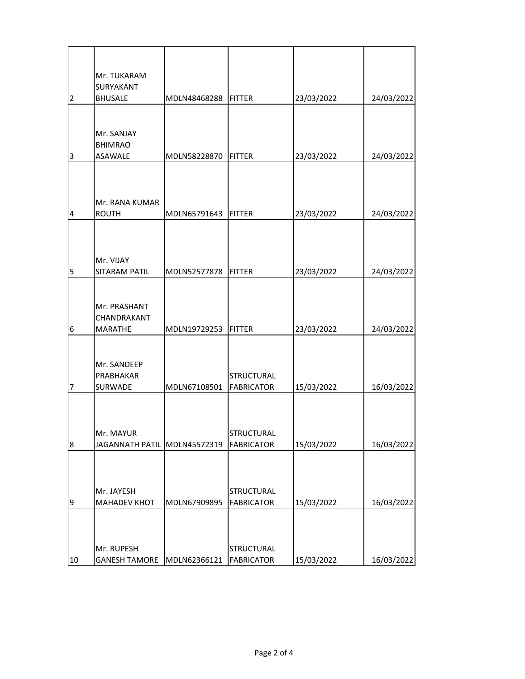|    | Mr. TUKARAM                        |              |                   |            |            |
|----|------------------------------------|--------------|-------------------|------------|------------|
| 2  | <b>SURYAKANT</b><br><b>BHUSALE</b> | MDLN48468288 | <b>FITTER</b>     | 23/03/2022 | 24/03/2022 |
|    |                                    |              |                   |            |            |
|    |                                    |              |                   |            |            |
|    | Mr. SANJAY<br><b>BHIMRAO</b>       |              |                   |            |            |
| 3  | ASAWALE                            | MDLN58228870 | <b>FITTER</b>     | 23/03/2022 | 24/03/2022 |
|    |                                    |              |                   |            |            |
|    |                                    |              |                   |            |            |
|    | Mr. RANA KUMAR                     |              |                   |            |            |
| 4  | <b>ROUTH</b>                       | MDLN65791643 | <b>FITTER</b>     | 23/03/2022 | 24/03/2022 |
|    |                                    |              |                   |            |            |
|    |                                    |              |                   |            |            |
|    | Mr. VIJAY                          |              |                   |            |            |
| 5  | SITARAM PATIL                      | MDLN52577878 | <b>FITTER</b>     | 23/03/2022 | 24/03/2022 |
|    |                                    |              |                   |            |            |
|    |                                    |              |                   |            |            |
|    | Mr. PRASHANT<br>CHANDRAKANT        |              |                   |            |            |
| 6  | <b>MARATHE</b>                     | MDLN19729253 | <b>FITTER</b>     | 23/03/2022 | 24/03/2022 |
|    |                                    |              |                   |            |            |
|    | Mr. SANDEEP                        |              |                   |            |            |
|    | PRABHAKAR                          |              | <b>STRUCTURAL</b> |            |            |
| 7  | SURWADE                            | MDLN67108501 | <b>FABRICATOR</b> | 15/03/2022 | 16/03/2022 |
|    |                                    |              |                   |            |            |
|    |                                    |              |                   |            |            |
|    | Mr. MAYUR                          |              | <b>STRUCTURAL</b> |            |            |
| 8  | JAGANNATH PATIL MDLN45572319       |              | <b>FABRICATOR</b> | 15/03/2022 | 16/03/2022 |
|    |                                    |              |                   |            |            |
|    |                                    |              |                   |            |            |
|    | Mr. JAYESH                         |              | <b>STRUCTURAL</b> |            |            |
| 9  | <b>MAHADEV KHOT</b>                | MDLN67909895 | <b>FABRICATOR</b> | 15/03/2022 | 16/03/2022 |
|    |                                    |              |                   |            |            |
|    |                                    |              |                   |            |            |
|    | Mr. RUPESH                         |              | <b>STRUCTURAL</b> |            |            |
| 10 | <b>GANESH TAMORE</b>               | MDLN62366121 | <b>FABRICATOR</b> | 15/03/2022 | 16/03/2022 |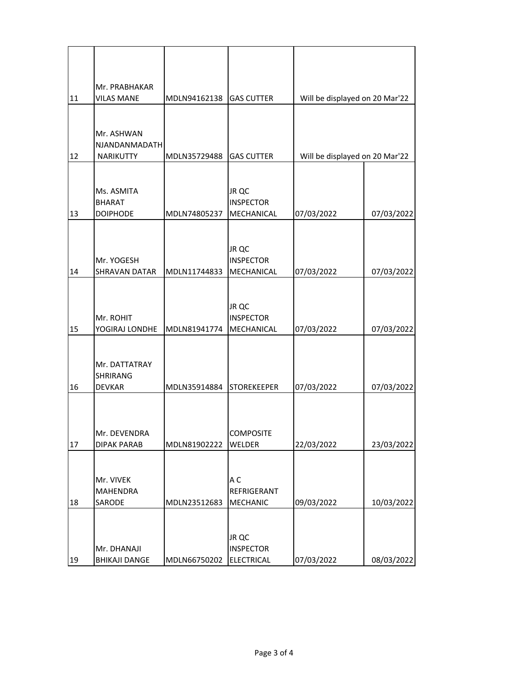| 11 | Mr. PRABHAKAR<br><b>VILAS MANE</b> | MDLN94162138 GAS CUTTER |                           | Will be displayed on 20 Mar'22 |            |
|----|------------------------------------|-------------------------|---------------------------|--------------------------------|------------|
|    |                                    |                         |                           |                                |            |
|    | Mr. ASHWAN                         |                         |                           |                                |            |
|    | <b>NJANDANMADATH</b>               |                         |                           |                                |            |
| 12 | NARIKUTTY                          | MDLN35729488            | <b>GAS CUTTER</b>         | Will be displayed on 20 Mar'22 |            |
|    |                                    |                         |                           |                                |            |
|    | Ms. ASMITA                         |                         | JR QC<br><b>INSPECTOR</b> |                                |            |
| 13 | <b>BHARAT</b><br><b>DOIPHODE</b>   | MDLN74805237            | MECHANICAL                | 07/03/2022                     | 07/03/2022 |
|    |                                    |                         |                           |                                |            |
|    |                                    |                         |                           |                                |            |
|    | Mr. YOGESH                         |                         | JR QC<br><b>INSPECTOR</b> |                                |            |
| 14 | SHRAVAN DATAR                      | MDLN11744833            | MECHANICAL                | 07/03/2022                     | 07/03/2022 |
|    |                                    |                         |                           |                                |            |
|    |                                    |                         | JR QC                     |                                |            |
|    | Mr. ROHIT                          |                         | <b>INSPECTOR</b>          |                                |            |
| 15 | YOGIRAJ LONDHE                     | MDLN81941774            | MECHANICAL                | 07/03/2022                     | 07/03/2022 |
|    |                                    |                         |                           |                                |            |
|    | Mr. DATTATRAY                      |                         |                           |                                |            |
|    | SHRIRANG                           |                         |                           |                                |            |
| 16 | <b>DEVKAR</b>                      | MDLN35914884            | <b>STOREKEEPER</b>        | 07/03/2022                     | 07/03/2022 |
|    |                                    |                         |                           |                                |            |
|    |                                    |                         |                           |                                |            |
| 17 | Mr. DFVFNDRA<br><b>DIPAK PARAB</b> | MDLN81902222            | COMPOSITE<br>WELDER       | 22/03/2022                     | 23/03/2022 |
|    |                                    |                         |                           |                                |            |
|    |                                    |                         |                           |                                |            |
|    | Mr. VIVEK<br>MAHENDRA              |                         | A C<br>REFRIGERANT        |                                |            |
| 18 | SARODE                             | MDLN23512683            | MECHANIC                  | 09/03/2022                     | 10/03/2022 |
|    |                                    |                         |                           |                                |            |
|    |                                    |                         | JR QC                     |                                |            |
|    | Mr. DHANAJI                        |                         | <b>INSPECTOR</b>          |                                |            |
| 19 | <b>BHIKAJI DANGE</b>               | MDLN66750202            | ELECTRICAL                | 07/03/2022                     | 08/03/2022 |